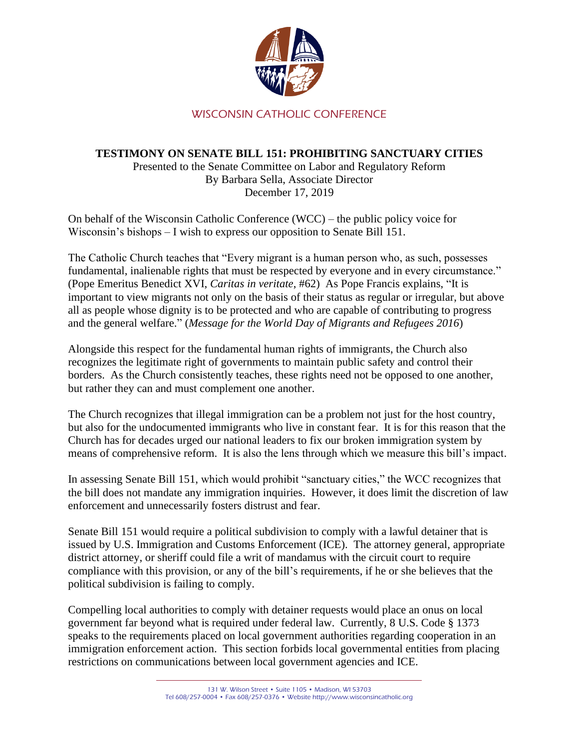

## WISCONSIN CATHOLIC CONFERENCE

## **TESTIMONY ON SENATE BILL 151: PROHIBITING SANCTUARY CITIES**

Presented to the Senate Committee on Labor and Regulatory Reform By Barbara Sella, Associate Director December 17, 2019

On behalf of the Wisconsin Catholic Conference (WCC) – the public policy voice for Wisconsin's bishops – I wish to express our opposition to Senate Bill 151.

The Catholic Church teaches that "Every migrant is a human person who, as such, possesses fundamental, inalienable rights that must be respected by everyone and in every circumstance." (Pope Emeritus Benedict XVI, *Caritas in veritate*, #62) As Pope Francis explains, "It is important to view migrants not only on the basis of their status as regular or irregular, but above all as people whose dignity is to be protected and who are capable of contributing to progress and the general welfare." (*Message for the World Day of Migrants and Refugees 2016*)

Alongside this respect for the fundamental human rights of immigrants, the Church also recognizes the legitimate right of governments to maintain public safety and control their borders. As the Church consistently teaches, these rights need not be opposed to one another, but rather they can and must complement one another.

The Church recognizes that illegal immigration can be a problem not just for the host country, but also for the undocumented immigrants who live in constant fear. It is for this reason that the Church has for decades urged our national leaders to fix our broken immigration system by means of comprehensive reform. It is also the lens through which we measure this bill's impact.

In assessing Senate Bill 151, which would prohibit "sanctuary cities," the WCC recognizes that the bill does not mandate any immigration inquiries. However, it does limit the discretion of law enforcement and unnecessarily fosters distrust and fear.

Senate Bill 151 would require a political subdivision to comply with a lawful detainer that is issued by U.S. Immigration and Customs Enforcement (ICE). The attorney general, appropriate district attorney, or sheriff could file a writ of mandamus with the circuit court to require compliance with this provision, or any of the bill's requirements, if he or she believes that the political subdivision is failing to comply.

Compelling local authorities to comply with detainer requests would place an onus on local government far beyond what is required under federal law. Currently, 8 U.S. Code § 1373 speaks to the requirements placed on local government authorities regarding cooperation in an immigration enforcement action. This section forbids local governmental entities from placing restrictions on communications between local government agencies and ICE.